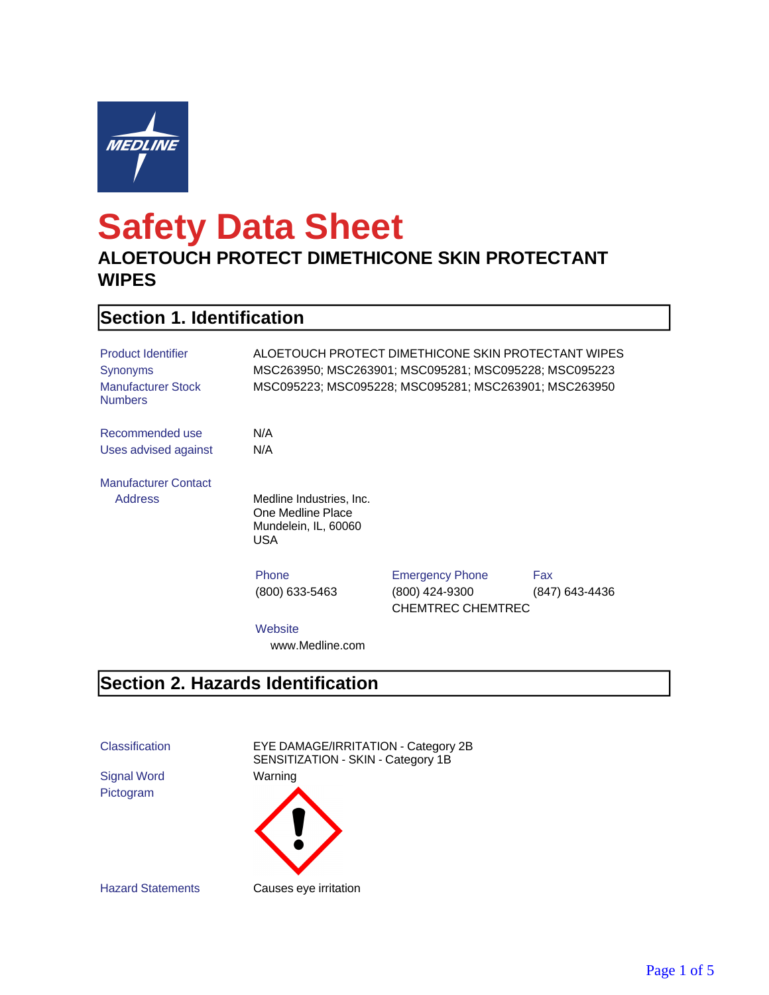

# **Safety Data Sheet**

#### **ALOETOUCH PROTECT DIMETHICONE SKIN PROTECTANT WIPES**

## **Section 1. Identification**

| <b>Product Identifier</b><br>Synonyms<br><b>Manufacturer Stock</b><br><b>Numbers</b> |                                                                              | ALOETOUCH PROTECT DIMETHICONE SKIN PROTECTANT WIPES<br>MSC095223; MSC095228; MSC095281; MSC263901; MSC263950 |                       |
|--------------------------------------------------------------------------------------|------------------------------------------------------------------------------|--------------------------------------------------------------------------------------------------------------|-----------------------|
| Recommended use<br>Uses advised against                                              | N/A<br>N/A                                                                   |                                                                                                              |                       |
| <b>Manufacturer Contact</b><br><b>Address</b>                                        | Medline Industries, Inc.<br>One Medline Place<br>Mundelein, IL, 60060<br>USA |                                                                                                              |                       |
|                                                                                      | Phone<br>(800) 633-5463                                                      | <b>Emergency Phone</b><br>(800) 424-9300<br><b>CHEMTREC CHEMTREC</b>                                         | Fax<br>(847) 643-4436 |
|                                                                                      | Website<br>www.Medline.com                                                   |                                                                                                              |                       |

#### **Section 2. Hazards Identification**

Classification EYE DAMAGE/IRRITATION - Category 2B

Signal Word Warning Pictogram

SENSITIZATION - SKIN - Category 1B

Hazard Statements Causes eye irritation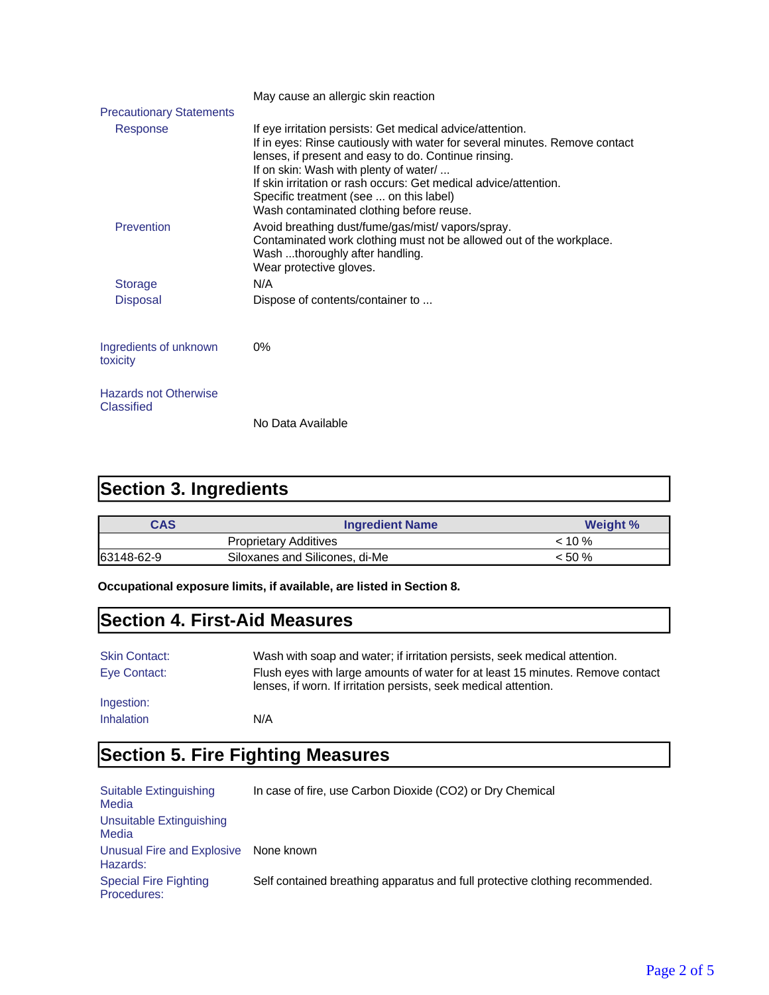|                                            | May cause an allergic skin reaction                                                                                                                                                                                                                                                                                                                                                                   |
|--------------------------------------------|-------------------------------------------------------------------------------------------------------------------------------------------------------------------------------------------------------------------------------------------------------------------------------------------------------------------------------------------------------------------------------------------------------|
| <b>Precautionary Statements</b>            |                                                                                                                                                                                                                                                                                                                                                                                                       |
| Response                                   | If eye irritation persists: Get medical advice/attention.<br>If in eyes: Rinse cautiously with water for several minutes. Remove contact<br>lenses, if present and easy to do. Continue rinsing.<br>If on skin: Wash with plenty of water/<br>If skin irritation or rash occurs: Get medical advice/attention.<br>Specific treatment (see  on this label)<br>Wash contaminated clothing before reuse. |
| Prevention                                 | Avoid breathing dust/fume/gas/mist/ vapors/spray.<br>Contaminated work clothing must not be allowed out of the workplace.<br>Wash thoroughly after handling.<br>Wear protective gloves.                                                                                                                                                                                                               |
| <b>Storage</b>                             | N/A                                                                                                                                                                                                                                                                                                                                                                                                   |
| <b>Disposal</b>                            | Dispose of contents/container to                                                                                                                                                                                                                                                                                                                                                                      |
| Ingredients of unknown<br>toxicity         | 0%                                                                                                                                                                                                                                                                                                                                                                                                    |
| <b>Hazards not Otherwise</b><br>Classified | No Data Available                                                                                                                                                                                                                                                                                                                                                                                     |

# **Section 3. Ingredients**

| CAS        | <b>Ingredient Name</b>         | <b>Weight %</b> |
|------------|--------------------------------|-----------------|
|            | <b>Proprietary Additives</b>   | $< 10 \%$       |
| 63148-62-9 | Siloxanes and Silicones, di-Me | $< 50 \%$       |

**Occupational exposure limits, if available, are listed in Section 8.**

## **Section 4. First-Aid Measures**

| <b>Skin Contact:</b> | Wash with soap and water; if irritation persists, seek medical attention.                                                                          |
|----------------------|----------------------------------------------------------------------------------------------------------------------------------------------------|
| Eye Contact:         | Flush eyes with large amounts of water for at least 15 minutes. Remove contact<br>lenses, if worn. If irritation persists, seek medical attention. |
| Ingestion:           |                                                                                                                                                    |
| Inhalation           | N/A                                                                                                                                                |

# **Section 5. Fire Fighting Measures**

| Suitable Extinguishing<br>Media             | In case of fire, use Carbon Dioxide (CO2) or Dry Chemical                    |
|---------------------------------------------|------------------------------------------------------------------------------|
| Unsuitable Extinguishing<br>Media           |                                                                              |
| Unusual Fire and Explosive<br>Hazards:      | None known                                                                   |
| <b>Special Fire Fighting</b><br>Procedures: | Self contained breathing apparatus and full protective clothing recommended. |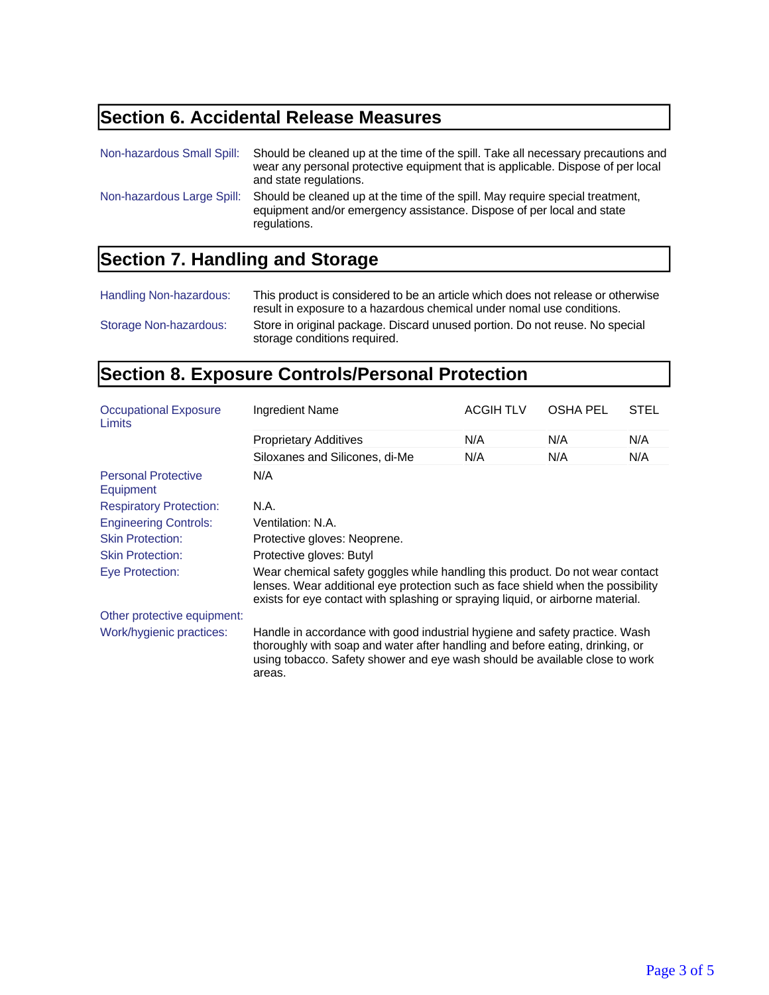## **Section 6. Accidental Release Measures**

| Non-hazardous Small Spill: | Should be cleaned up at the time of the spill. Take all necessary precautions and<br>wear any personal protective equipment that is applicable. Dispose of per local<br>and state regulations. |
|----------------------------|------------------------------------------------------------------------------------------------------------------------------------------------------------------------------------------------|
| Non-hazardous Large Spill: | Should be cleaned up at the time of the spill. May require special treatment,<br>equipment and/or emergency assistance. Dispose of per local and state<br>regulations.                         |

## **Section 7. Handling and Storage**

| Handling Non-hazardous: | This product is considered to be an article which does not release or otherwise<br>result in exposure to a hazardous chemical under nomal use conditions. |
|-------------------------|-----------------------------------------------------------------------------------------------------------------------------------------------------------|
| Storage Non-hazardous:  | Store in original package. Discard unused portion. Do not reuse. No special<br>storage conditions required.                                               |

## **Section 8. Exposure Controls/Personal Protection**

| <b>Occupational Exposure</b><br>Limits  | Ingredient Name                                                                                                                                                                                                                                       | <b>ACGIH TLV</b> | <b>OSHA PEL</b> | <b>STEL</b> |
|-----------------------------------------|-------------------------------------------------------------------------------------------------------------------------------------------------------------------------------------------------------------------------------------------------------|------------------|-----------------|-------------|
|                                         | <b>Proprietary Additives</b>                                                                                                                                                                                                                          | N/A              | N/A             | N/A         |
|                                         | Siloxanes and Silicones, di-Me                                                                                                                                                                                                                        | N/A              | N/A             | N/A         |
| <b>Personal Protective</b><br>Equipment | N/A                                                                                                                                                                                                                                                   |                  |                 |             |
| <b>Respiratory Protection:</b>          | N.A.                                                                                                                                                                                                                                                  |                  |                 |             |
| <b>Engineering Controls:</b>            | Ventilation: N.A.                                                                                                                                                                                                                                     |                  |                 |             |
| <b>Skin Protection:</b>                 | Protective gloves: Neoprene.                                                                                                                                                                                                                          |                  |                 |             |
| <b>Skin Protection:</b>                 | Protective gloves: Butyl                                                                                                                                                                                                                              |                  |                 |             |
| Eye Protection:                         | Wear chemical safety goggles while handling this product. Do not wear contact<br>lenses. Wear additional eye protection such as face shield when the possibility<br>exists for eye contact with splashing or spraying liquid, or airborne material.   |                  |                 |             |
| Other protective equipment:             |                                                                                                                                                                                                                                                       |                  |                 |             |
| Work/hygienic practices:                | Handle in accordance with good industrial hygiene and safety practice. Wash<br>thoroughly with soap and water after handling and before eating, drinking, or<br>using tobacco. Safety shower and eye wash should be available close to work<br>areas. |                  |                 |             |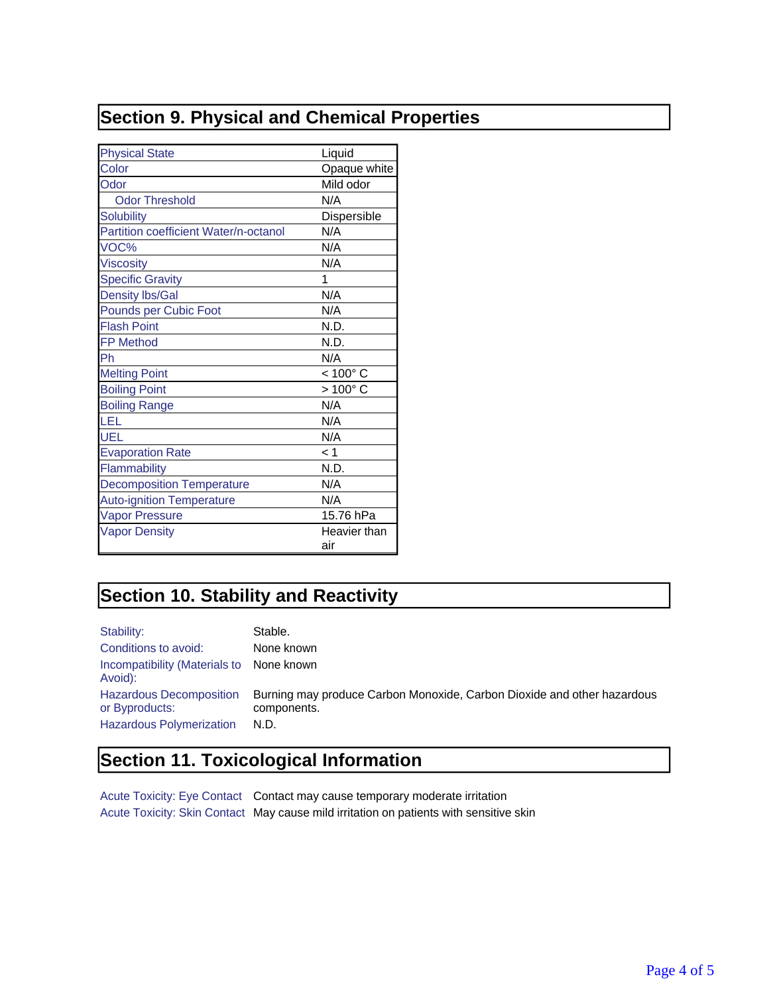## **Section 9. Physical and Chemical Properties**

| <b>Physical State</b>                 | Liquid            |
|---------------------------------------|-------------------|
| Color                                 | Opaque white      |
| Odor                                  | Mild odor         |
| <b>Odor Threshold</b>                 | N/A               |
| <b>Solubility</b>                     | Dispersible       |
| Partition coefficient Water/n-octanol | N/A               |
| VOC%                                  | N/A               |
| <b>Viscosity</b>                      | N/A               |
| <b>Specific Gravity</b>               | 1                 |
| <b>Density Ibs/Gal</b>                | N/A               |
| <b>Pounds per Cubic Foot</b>          | N/A               |
| <b>Flash Point</b>                    | N.D.              |
| <b>FP Method</b>                      | N.D.              |
| Ph                                    | N/A               |
| <b>Melting Point</b>                  | $< 100^{\circ}$ C |
| <b>Boiling Point</b>                  | $>100^{\circ}$ C  |
| <b>Boiling Range</b>                  | N/A               |
| LEL                                   | N/A               |
| UEL                                   | N/A               |
| <b>Evaporation Rate</b>               | < 1               |
| Flammability                          | N.D.              |
| <b>Decomposition Temperature</b>      | N/A               |
| <b>Auto-ignition Temperature</b>      | N/A               |
| <b>Vapor Pressure</b>                 | 15.76 hPa         |
| <b>Vapor Density</b>                  | Heavier than      |
|                                       | air               |

## **Section 10. Stability and Reactivity**

| Stability:                                                                          | Stable.                                                                                        |
|-------------------------------------------------------------------------------------|------------------------------------------------------------------------------------------------|
| Conditions to avoid:                                                                | None known                                                                                     |
| Incompatibility (Materials to None known)<br>Avoid):                                |                                                                                                |
| <b>Hazardous Decomposition</b><br>or Byproducts:<br><b>Hazardous Polymerization</b> | Burning may produce Carbon Monoxide, Carbon Dioxide and other hazardous<br>components.<br>N.D. |

## **Section 11. Toxicological Information**

Acute Toxicity: Eye Contact Contact may cause temporary moderate irritation Acute Toxicity: Skin Contact May cause mild irritation on patients with sensitive skin